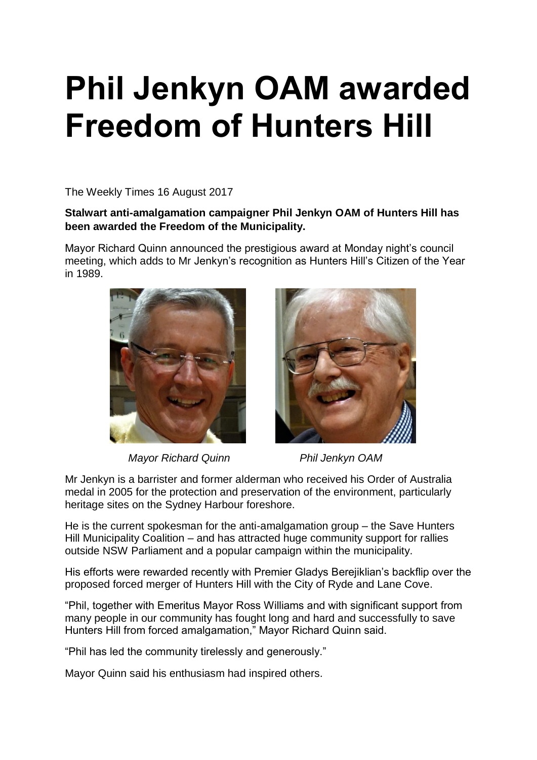## **Phil Jenkyn OAM awarded Freedom of Hunters Hill**

The Weekly Times 16 August 2017

**Stalwart anti-amalgamation campaigner Phil Jenkyn OAM of Hunters Hill has been awarded the Freedom of the Municipality.**

Mayor Richard Quinn announced the prestigious award at Monday night's council meeting, which adds to Mr Jenkyn's recognition as Hunters Hill's Citizen of the Year in 1989.



*Mayor Richard Quinn* Phil Jenkyn OAM



Mr Jenkyn is a barrister and former alderman who received his Order of Australia medal in 2005 for the protection and preservation of the environment, particularly heritage sites on the Sydney Harbour foreshore.

He is the current spokesman for the anti-amalgamation group – the Save Hunters Hill Municipality Coalition – and has attracted huge community support for rallies outside NSW Parliament and a popular campaign within the municipality.

His efforts were rewarded recently with Premier Gladys Berejiklian's backflip over the proposed forced merger of Hunters Hill with the City of Ryde and Lane Cove.

"Phil, together with Emeritus Mayor Ross Williams and with significant support from many people in our community has fought long and hard and successfully to save Hunters Hill from forced amalgamation," Mayor Richard Quinn said.

"Phil has led the community tirelessly and generously."

Mayor Quinn said his enthusiasm had inspired others.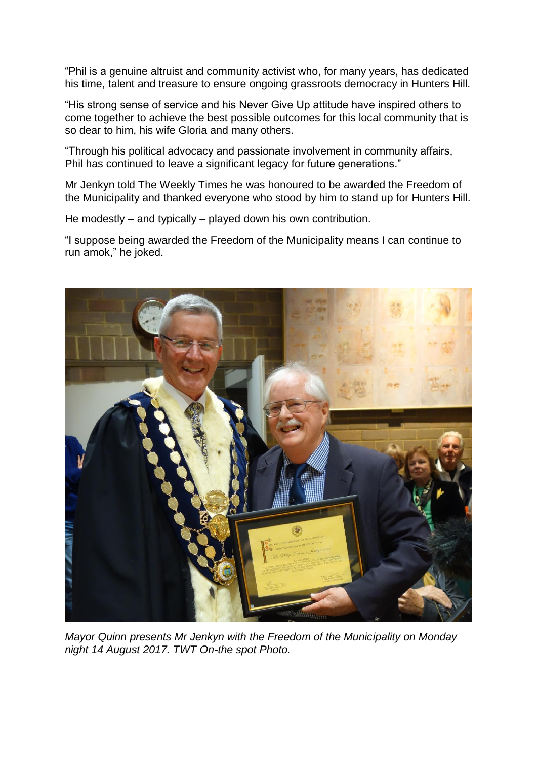"Phil is a genuine altruist and community activist who, for many years, has dedicated his time, talent and treasure to ensure ongoing grassroots democracy in Hunters Hill.

"His strong sense of service and his Never Give Up attitude have inspired others to come together to achieve the best possible outcomes for this local community that is so dear to him, his wife Gloria and many others.

"Through his political advocacy and passionate involvement in community affairs, Phil has continued to leave a significant legacy for future generations."

Mr Jenkyn told The Weekly Times he was honoured to be awarded the Freedom of the Municipality and thanked everyone who stood by him to stand up for Hunters Hill.

He modestly – and typically – played down his own contribution.

"I suppose being awarded the Freedom of the Municipality means I can continue to run amok," he joked.



*Mayor Quinn presents Mr Jenkyn with the Freedom of the Municipality on Monday night 14 August 2017. TWT On-the spot Photo.*